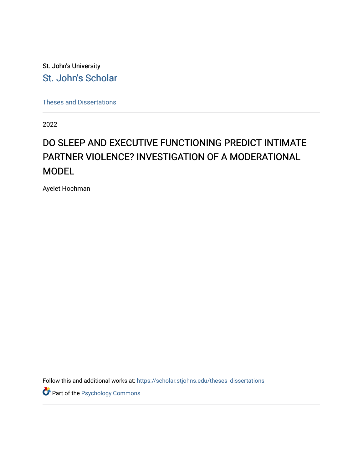St. John's University [St. John's Scholar](https://scholar.stjohns.edu/) 

[Theses and Dissertations](https://scholar.stjohns.edu/theses_dissertations)

2022

# DO SLEEP AND EXECUTIVE FUNCTIONING PREDICT INTIMATE PARTNER VIOLENCE? INVESTIGATION OF A MODERATIONAL **MODEL**

Ayelet Hochman

Follow this and additional works at: [https://scholar.stjohns.edu/theses\\_dissertations](https://scholar.stjohns.edu/theses_dissertations?utm_source=scholar.stjohns.edu%2Ftheses_dissertations%2F407&utm_medium=PDF&utm_campaign=PDFCoverPages)

Part of the [Psychology Commons](https://network.bepress.com/hgg/discipline/404?utm_source=scholar.stjohns.edu%2Ftheses_dissertations%2F407&utm_medium=PDF&utm_campaign=PDFCoverPages)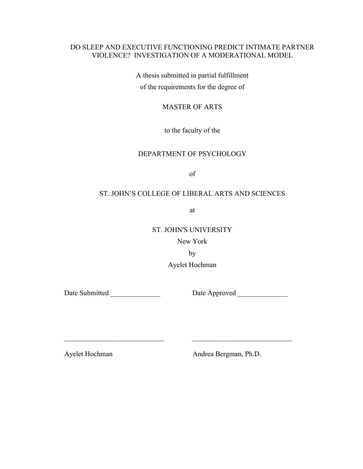## DO SLEEP AND EXECUTIVE FUNCTIONING PREDICT INTIMATE PARTNER VIOLENCE? INVESTIGATION OF A MODERATIONAL MODEL

A thesis submitted in partial fulfillment of the requirements for the degree of

#### MASTER OF ARTS

to the faculty of the

#### DEPARTMENT OF PSYCHOLOGY

of

# ST. JOHN'S COLLEGE OF LIBERAL ARTS AND SCIENCES

at

ST. JOHN'S UNIVERSITY

New York

by

 $\mathcal{L}_\text{max}$  , and the contribution of the contribution of  $\mathcal{L}_\text{max}$  , and the contribution of  $\mathcal{L}_\text{max}$ 

Ayelet Hochman

Date Submitted Date Approved

Ayelet Hochman Andrea Bergman, Ph.D.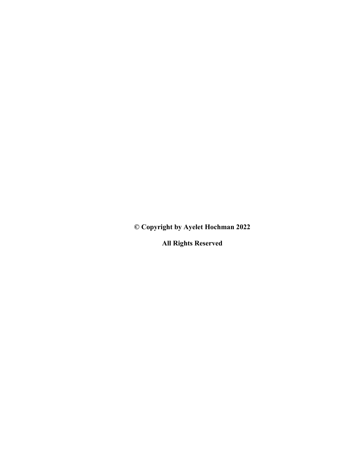**© Copyright by Ayelet Hochman 2022**

**All Rights Reserved**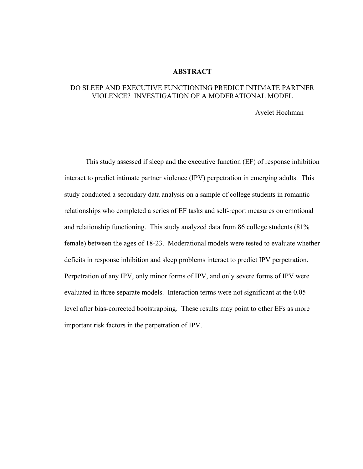#### **ABSTRACT**

### DO SLEEP AND EXECUTIVE FUNCTIONING PREDICT INTIMATE PARTNER VIOLENCE? INVESTIGATION OF A MODERATIONAL MODEL

#### Ayelet Hochman

This study assessed if sleep and the executive function (EF) of response inhibition interact to predict intimate partner violence (IPV) perpetration in emerging adults. This study conducted a secondary data analysis on a sample of college students in romantic relationships who completed a series of EF tasks and self-report measures on emotional and relationship functioning. This study analyzed data from 86 college students (81% female) between the ages of 18-23. Moderational models were tested to evaluate whether deficits in response inhibition and sleep problems interact to predict IPV perpetration. Perpetration of any IPV, only minor forms of IPV, and only severe forms of IPV were evaluated in three separate models. Interaction terms were not significant at the 0.05 level after bias-corrected bootstrapping. These results may point to other EFs as more important risk factors in the perpetration of IPV.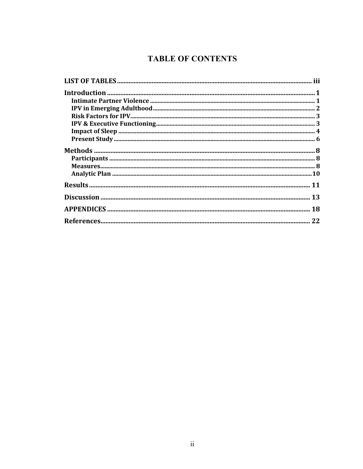# **TABLE OF CONTENTS**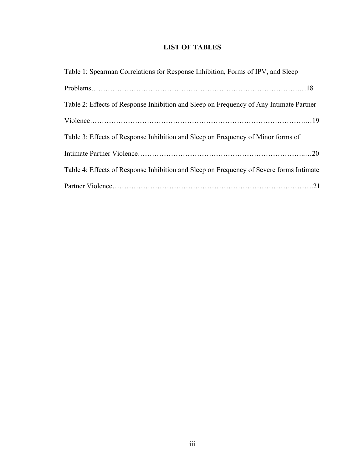# **LIST OF TABLES**

| Table 1: Spearman Correlations for Response Inhibition, Forms of IPV, and Sleep         |
|-----------------------------------------------------------------------------------------|
|                                                                                         |
| Table 2: Effects of Response Inhibition and Sleep on Frequency of Any Intimate Partner  |
|                                                                                         |
| Table 3: Effects of Response Inhibition and Sleep on Frequency of Minor forms of        |
|                                                                                         |
| Table 4: Effects of Response Inhibition and Sleep on Frequency of Severe forms Intimate |
|                                                                                         |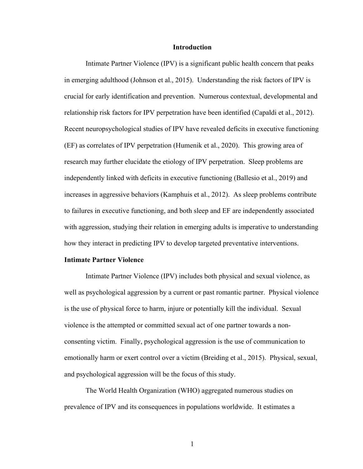#### **Introduction**

Intimate Partner Violence (IPV) is a significant public health concern that peaks in emerging adulthood (Johnson et al., 2015). Understanding the risk factors of IPV is crucial for early identification and prevention. Numerous contextual, developmental and relationship risk factors for IPV perpetration have been identified (Capaldi et al., 2012). Recent neuropsychological studies of IPV have revealed deficits in executive functioning (EF) as correlates of IPV perpetration (Humenik et al., 2020). This growing area of research may further elucidate the etiology of IPV perpetration. Sleep problems are independently linked with deficits in executive functioning (Ballesio et al., 2019) and increases in aggressive behaviors (Kamphuis et al., 2012). As sleep problems contribute to failures in executive functioning, and both sleep and EF are independently associated with aggression, studying their relation in emerging adults is imperative to understanding how they interact in predicting IPV to develop targeted preventative interventions.

#### **Intimate Partner Violence**

Intimate Partner Violence (IPV) includes both physical and sexual violence, as well as psychological aggression by a current or past romantic partner. Physical violence is the use of physical force to harm, injure or potentially kill the individual. Sexual violence is the attempted or committed sexual act of one partner towards a nonconsenting victim. Finally, psychological aggression is the use of communication to emotionally harm or exert control over a victim (Breiding et al., 2015). Physical, sexual, and psychological aggression will be the focus of this study.

The World Health Organization (WHO) aggregated numerous studies on prevalence of IPV and its consequences in populations worldwide. It estimates a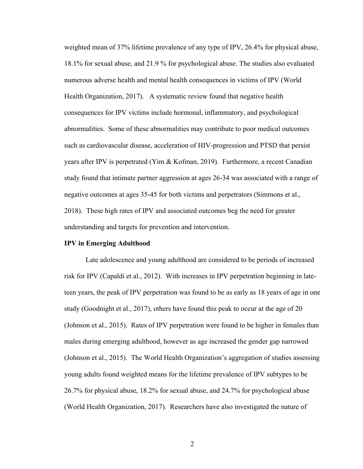weighted mean of 37% lifetime prevalence of any type of IPV, 26.4% for physical abuse, 18.1% for sexual abuse, and 21.9 % for psychological abuse. The studies also evaluated numerous adverse health and mental health consequences in victims of IPV (World Health Organization, 2017). A systematic review found that negative health consequences for IPV victims include hormonal, inflammatory, and psychological abnormalities. Some of these abnormalities may contribute to poor medical outcomes such as cardiovascular disease, acceleration of HIV-progression and PTSD that persist years after IPV is perpetrated (Yim & Kofman, 2019). Furthermore, a recent Canadian study found that intimate partner aggression at ages 26-34 was associated with a range of negative outcomes at ages 35-45 for both victims and perpetrators (Simmons et al., 2018). These high rates of IPV and associated outcomes beg the need for greater understanding and targets for prevention and intervention.

#### **IPV in Emerging Adulthood**

Late adolescence and young adulthood are considered to be periods of increased risk for IPV (Capaldi et al., 2012). With increases in IPV perpetration beginning in lateteen years, the peak of IPV perpetration was found to be as early as 18 years of age in one study (Goodnight et al., 2017), others have found this peak to occur at the age of 20 (Johnson et al., 2015). Rates of IPV perpetration were found to be higher in females than males during emerging adulthood, however as age increased the gender gap narrowed (Johnson et al., 2015). The World Health Organization's aggregation of studies assessing young adults found weighted means for the lifetime prevalence of IPV subtypes to be 26.7% for physical abuse, 18.2% for sexual abuse, and 24.7% for psychological abuse (World Health Organization, 2017). Researchers have also investigated the nature of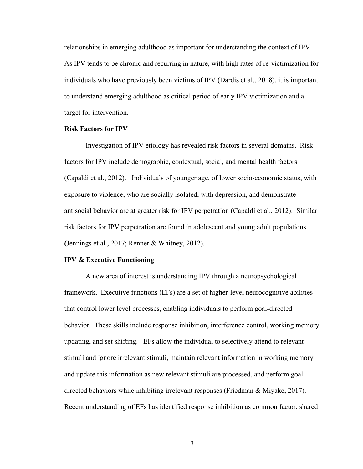relationships in emerging adulthood as important for understanding the context of IPV. As IPV tends to be chronic and recurring in nature, with high rates of re-victimization for individuals who have previously been victims of IPV (Dardis et al., 2018), it is important to understand emerging adulthood as critical period of early IPV victimization and a target for intervention.

#### **Risk Factors for IPV**

Investigation of IPV etiology has revealed risk factors in several domains. Risk factors for IPV include demographic, contextual, social, and mental health factors (Capaldi et al., 2012). Individuals of younger age, of lower socio-economic status, with exposure to violence, who are socially isolated, with depression, and demonstrate antisocial behavior are at greater risk for IPV perpetration (Capaldi et al., 2012). Similar risk factors for IPV perpetration are found in adolescent and young adult populations **(**Jennings et al., 2017; Renner & Whitney, 2012).

#### **IPV & Executive Functioning**

A new area of interest is understanding IPV through a neuropsychological framework. Executive functions (EFs) are a set of higher-level neurocognitive abilities that control lower level processes, enabling individuals to perform goal-directed behavior. These skills include response inhibition, interference control, working memory updating, and set shifting. EFs allow the individual to selectively attend to relevant stimuli and ignore irrelevant stimuli, maintain relevant information in working memory and update this information as new relevant stimuli are processed, and perform goaldirected behaviors while inhibiting irrelevant responses (Friedman & Miyake, 2017). Recent understanding of EFs has identified response inhibition as common factor, shared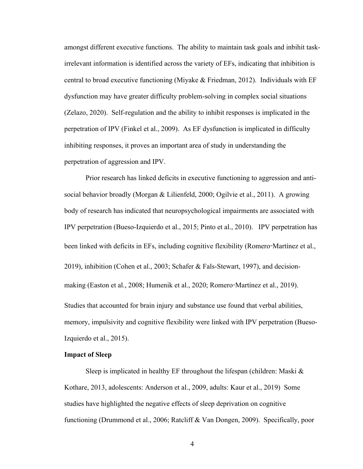amongst different executive functions. The ability to maintain task goals and inbihit taskirrelevant information is identified across the variety of EFs, indicating that inhibition is central to broad executive functioning (Miyake & Friedman, 2012). Individuals with EF dysfunction may have greater difficulty problem-solving in complex social situations (Zelazo, 2020). Self-regulation and the ability to inhibit responses is implicated in the perpetration of IPV (Finkel et al., 2009). As EF dysfunction is implicated in difficulty inhibiting responses, it proves an important area of study in understanding the perpetration of aggression and IPV.

Prior research has linked deficits in executive functioning to aggression and antisocial behavior broadly (Morgan & Lilienfeld, 2000; Ogilvie et al., 2011). A growing body of research has indicated that neuropsychological impairments are associated with IPV perpetration (Bueso-Izquierdo et al., 2015; Pinto et al., 2010). IPV perpetration has been linked with deficits in EFs, including cognitive flexibility (Romero-Martínez et al., 2019), inhibition (Cohen et al., 2003; Schafer & Fals-Stewart, 1997), and decisionmaking (Easton et al., 2008; Humenik et al., 2020; Romero-Martínez et al., 2019). Studies that accounted for brain injury and substance use found that verbal abilities, memory, impulsivity and cognitive flexibility were linked with IPV perpetration (Bueso-Izquierdo et al., 2015).

#### **Impact of Sleep**

Sleep is implicated in healthy EF throughout the lifespan (children: Maski & Kothare, 2013, adolescents: Anderson et al., 2009, adults: Kaur et al., 2019) Some studies have highlighted the negative effects of sleep deprivation on cognitive functioning (Drummond et al., 2006; Ratcliff & Van Dongen, 2009). Specifically, poor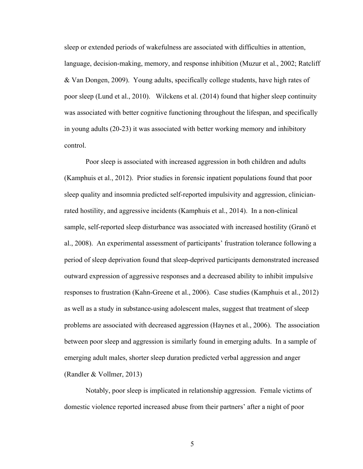sleep or extended periods of wakefulness are associated with difficulties in attention, language, decision-making, memory, and response inhibition (Muzur et al., 2002; Ratcliff & Van Dongen, 2009). Young adults, specifically college students, have high rates of poor sleep (Lund et al., 2010). Wilckens et al. (2014) found that higher sleep continuity was associated with better cognitive functioning throughout the lifespan, and specifically in young adults (20-23) it was associated with better working memory and inhibitory control.

Poor sleep is associated with increased aggression in both children and adults (Kamphuis et al., 2012). Prior studies in forensic inpatient populations found that poor sleep quality and insomnia predicted self-reported impulsivity and aggression, clinicianrated hostility, and aggressive incidents (Kamphuis et al., 2014). In a non-clinical sample, self-reported sleep disturbance was associated with increased hostility (Granö et al., 2008). An experimental assessment of participants' frustration tolerance following a period of sleep deprivation found that sleep-deprived participants demonstrated increased outward expression of aggressive responses and a decreased ability to inhibit impulsive responses to frustration (Kahn-Greene et al., 2006). Case studies (Kamphuis et al., 2012) as well as a study in substance-using adolescent males, suggest that treatment of sleep problems are associated with decreased aggression (Haynes et al., 2006). The association between poor sleep and aggression is similarly found in emerging adults. In a sample of emerging adult males, shorter sleep duration predicted verbal aggression and anger (Randler & Vollmer, 2013)

Notably, poor sleep is implicated in relationship aggression. Female victims of domestic violence reported increased abuse from their partners' after a night of poor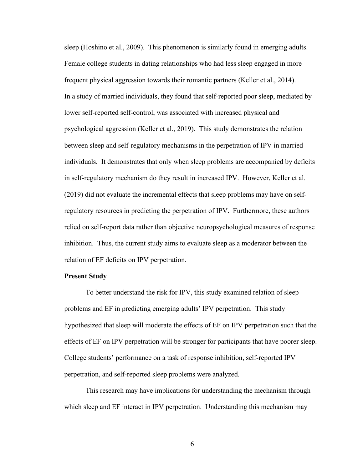sleep (Hoshino et al., 2009). This phenomenon is similarly found in emerging adults. Female college students in dating relationships who had less sleep engaged in more frequent physical aggression towards their romantic partners (Keller et al., 2014). In a study of married individuals, they found that self-reported poor sleep, mediated by lower self-reported self-control, was associated with increased physical and psychological aggression (Keller et al., 2019). This study demonstrates the relation between sleep and self-regulatory mechanisms in the perpetration of IPV in married individuals. It demonstrates that only when sleep problems are accompanied by deficits in self-regulatory mechanism do they result in increased IPV. However, Keller et al. (2019) did not evaluate the incremental effects that sleep problems may have on selfregulatory resources in predicting the perpetration of IPV. Furthermore, these authors relied on self-report data rather than objective neuropsychological measures of response inhibition. Thus, the current study aims to evaluate sleep as a moderator between the relation of EF deficits on IPV perpetration.

#### **Present Study**

To better understand the risk for IPV, this study examined relation of sleep problems and EF in predicting emerging adults' IPV perpetration. This study hypothesized that sleep will moderate the effects of EF on IPV perpetration such that the effects of EF on IPV perpetration will be stronger for participants that have poorer sleep. College students' performance on a task of response inhibition, self-reported IPV perpetration, and self-reported sleep problems were analyzed.

This research may have implications for understanding the mechanism through which sleep and EF interact in IPV perpetration. Understanding this mechanism may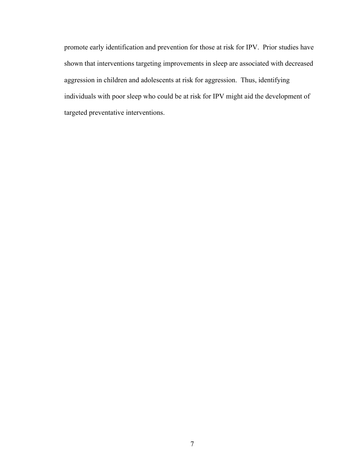promote early identification and prevention for those at risk for IPV. Prior studies have shown that interventions targeting improvements in sleep are associated with decreased aggression in children and adolescents at risk for aggression. Thus, identifying individuals with poor sleep who could be at risk for IPV might aid the development of targeted preventative interventions.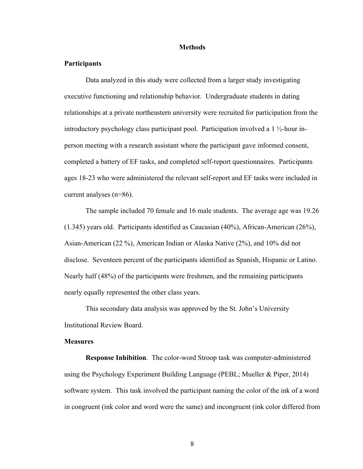#### **Methods**

#### **Participants**

Data analyzed in this study were collected from a larger study investigating executive functioning and relationship behavior. Undergraduate students in dating relationships at a private northeastern university were recruited for participation from the introductory psychology class participant pool. Participation involved a 1 ½-hour inperson meeting with a research assistant where the participant gave informed consent, completed a battery of EF tasks, and completed self-report questionnaires. Participants ages 18-23 who were administered the relevant self-report and EF tasks were included in current analyses (n=86).

The sample included 70 female and 16 male students. The average age was 19.26 (1.345) years old. Participants identified as Caucasian (40%), African-American (26%), Asian-American (22 %), American Indian or Alaska Native (2%), and 10% did not disclose. Seventeen percent of the participants identified as Spanish, Hispanic or Latino. Nearly half (48%) of the participants were freshmen, and the remaining participants nearly equally represented the other class years.

This secondary data analysis was approved by the St. John's University Institutional Review Board.

#### **Measures**

**Response Inhibition**. The color-word Stroop task was computer-administered using the Psychology Experiment Building Language (PEBL; Mueller & Piper, 2014) software system. This task involved the participant naming the color of the ink of a word in congruent (ink color and word were the same) and incongruent (ink color differed from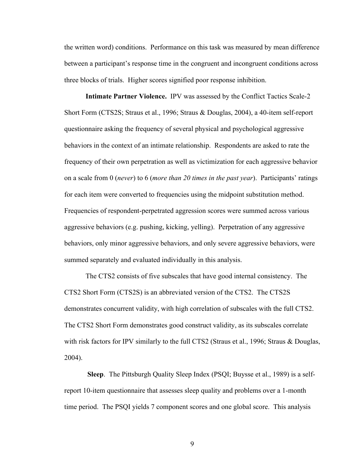the written word) conditions. Performance on this task was measured by mean difference between a participant's response time in the congruent and incongruent conditions across three blocks of trials. Higher scores signified poor response inhibition.

**Intimate Partner Violence.** IPV was assessed by the Conflict Tactics Scale-2 Short Form (CTS2S; Straus et al., 1996; Straus & Douglas, 2004), a 40-item self-report questionnaire asking the frequency of several physical and psychological aggressive behaviors in the context of an intimate relationship. Respondents are asked to rate the frequency of their own perpetration as well as victimization for each aggressive behavior on a scale from 0 (*never*) to 6 (*more than 20 times in the past year*). Participants' ratings for each item were converted to frequencies using the midpoint substitution method. Frequencies of respondent-perpetrated aggression scores were summed across various aggressive behaviors (e.g. pushing, kicking, yelling). Perpetration of any aggressive behaviors, only minor aggressive behaviors, and only severe aggressive behaviors, were summed separately and evaluated individually in this analysis.

The CTS2 consists of five subscales that have good internal consistency. The CTS2 Short Form (CTS2S) is an abbreviated version of the CTS2. The CTS2S demonstrates concurrent validity, with high correlation of subscales with the full CTS2. The CTS2 Short Form demonstrates good construct validity, as its subscales correlate with risk factors for IPV similarly to the full CTS2 (Straus et al., 1996; Straus & Douglas, 2004).

**Sleep**. The Pittsburgh Quality Sleep Index (PSQI; Buysse et al., 1989) is a selfreport 10-item questionnaire that assesses sleep quality and problems over a 1-month time period. The PSQI yields 7 component scores and one global score. This analysis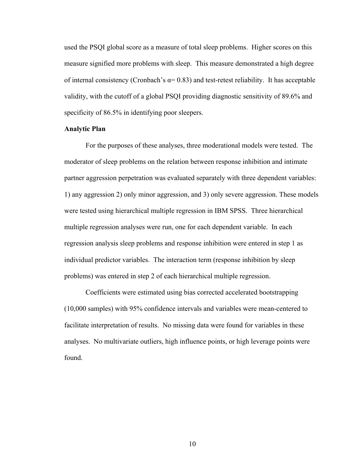used the PSQI global score as a measure of total sleep problems. Higher scores on this measure signified more problems with sleep. This measure demonstrated a high degree of internal consistency (Cronbach's  $\alpha$  = 0.83) and test-retest reliability. It has acceptable validity, with the cutoff of a global PSQI providing diagnostic sensitivity of 89.6% and specificity of 86.5% in identifying poor sleepers.

#### **Analytic Plan**

For the purposes of these analyses, three moderational models were tested. The moderator of sleep problems on the relation between response inhibition and intimate partner aggression perpetration was evaluated separately with three dependent variables: 1) any aggression 2) only minor aggression, and 3) only severe aggression. These models were tested using hierarchical multiple regression in IBM SPSS. Three hierarchical multiple regression analyses were run, one for each dependent variable. In each regression analysis sleep problems and response inhibition were entered in step 1 as individual predictor variables. The interaction term (response inhibition by sleep problems) was entered in step 2 of each hierarchical multiple regression.

Coefficients were estimated using bias corrected accelerated bootstrapping (10,000 samples) with 95% confidence intervals and variables were mean-centered to facilitate interpretation of results. No missing data were found for variables in these analyses. No multivariate outliers, high influence points, or high leverage points were found.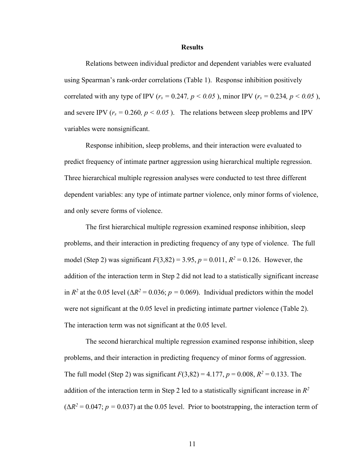#### **Results**

Relations between individual predictor and dependent variables were evaluated using Spearman's rank-order correlations (Table 1). Response inhibition positively correlated with any type of IPV ( $r_s = 0.247$ ,  $p < 0.05$ ), minor IPV ( $r_s = 0.234$ ,  $p < 0.05$ ), and severe IPV ( $r_s = 0.260$ ,  $p < 0.05$ ). The relations between sleep problems and IPV variables were nonsignificant.

Response inhibition, sleep problems, and their interaction were evaluated to predict frequency of intimate partner aggression using hierarchical multiple regression. Three hierarchical multiple regression analyses were conducted to test three different dependent variables: any type of intimate partner violence, only minor forms of violence, and only severe forms of violence.

The first hierarchical multiple regression examined response inhibition, sleep problems, and their interaction in predicting frequency of any type of violence. The full model (Step 2) was significant  $F(3,82) = 3.95$ ,  $p = 0.011$ ,  $R^2 = 0.126$ . However, the addition of the interaction term in Step 2 did not lead to a statistically significant increase in  $R^2$  at the 0.05 level ( $\Delta R^2 = 0.036$ ; *p* = 0.069). Individual predictors within the model were not significant at the 0.05 level in predicting intimate partner violence (Table 2). The interaction term was not significant at the 0.05 level.

The second hierarchical multiple regression examined response inhibition, sleep problems, and their interaction in predicting frequency of minor forms of aggression. The full model (Step 2) was significant  $F(3,82) = 4.177$ ,  $p = 0.008$ ,  $R^2 = 0.133$ . The addition of the interaction term in Step 2 led to a statistically significant increase in *R<sup>2</sup>*  $(\Delta R^2 = 0.047; p = 0.037)$  at the 0.05 level. Prior to bootstrapping, the interaction term of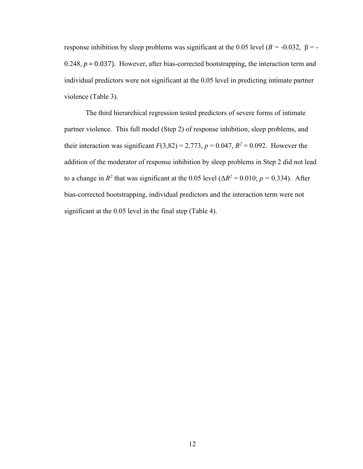response inhibition by sleep problems was significant at the 0.05 level ( $B = -0.032$ ,  $β = -1.032$ ) 0.248,  $p = 0.037$ ). However, after bias-corrected bootstrapping, the interaction term and individual predictors were not significant at the 0.05 level in predicting intimate partner violence (Table 3).

The third hierarchical regression tested predictors of severe forms of intimate partner violence. This full model (Step 2) of response inhibition, sleep problems, and their interaction was significant  $F(3,82) = 2.773$ ,  $p = 0.047$ ,  $R^2 = 0.092$ . However the addition of the moderator of response inhibition by sleep problems in Step 2 did not lead to a change in  $R^2$  that was significant at the 0.05 level ( $\Delta R^2 = 0.010$ ;  $p = 0.334$ ). After bias-corrected bootstrapping, individual predictors and the interaction term were not significant at the 0.05 level in the final step (Table 4).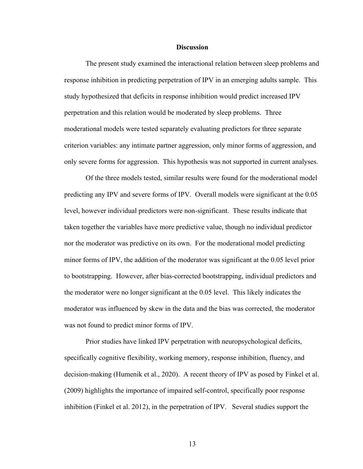#### **Discussion**

The present study examined the interactional relation between sleep problems and response inhibition in predicting perpetration of IPV in an emerging adults sample. This study hypothesized that deficits in response inhibition would predict increased IPV perpetration and this relation would be moderated by sleep problems. Three moderational models were tested separately evaluating predictors for three separate criterion variables: any intimate partner aggression, only minor forms of aggression, and only severe forms for aggression. This hypothesis was not supported in current analyses.

Of the three models tested, similar results were found for the moderational model predicting any IPV and severe forms of IPV. Overall models were significant at the 0.05 level, however individual predictors were non-significant. These results indicate that taken together the variables have more predictive value, though no individual predictor nor the moderator was predictive on its own. For the moderational model predicting minor forms of IPV, the addition of the moderator was significant at the 0.05 level prior to bootstrapping. However, after bias-corrected bootstrapping, individual predictors and the moderator were no longer significant at the 0.05 level. This likely indicates the moderator was influenced by skew in the data and the bias was corrected, the moderator was not found to predict minor forms of IPV.

Prior studies have linked IPV perpetration with neuropsychological deficits, specifically cognitive flexibility, working memory, response inhibition, fluency, and decision-making (Humenik et al., 2020). A recent theory of IPV as posed by Finkel et al. (2009) highlights the importance of impaired self-control, specifically poor response inhibition (Finkel et al. 2012), in the perpetration of IPV. Several studies support the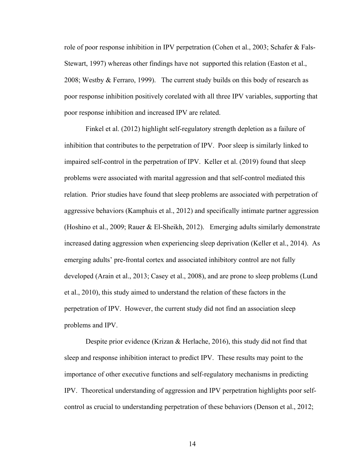role of poor response inhibition in IPV perpetration (Cohen et al., 2003; Schafer & Fals-Stewart, 1997) whereas other findings have not supported this relation (Easton et al., 2008; Westby & Ferraro, 1999). The current study builds on this body of research as poor response inhibition positively corelated with all three IPV variables, supporting that poor response inhibition and increased IPV are related.

Finkel et al. (2012) highlight self-regulatory strength depletion as a failure of inhibition that contributes to the perpetration of IPV. Poor sleep is similarly linked to impaired self-control in the perpetration of IPV. Keller et al. (2019) found that sleep problems were associated with marital aggression and that self-control mediated this relation. Prior studies have found that sleep problems are associated with perpetration of aggressive behaviors (Kamphuis et al., 2012) and specifically intimate partner aggression (Hoshino et al., 2009; Rauer & El-Sheikh, 2012). Emerging adults similarly demonstrate increased dating aggression when experiencing sleep deprivation (Keller et al., 2014). As emerging adults' pre-frontal cortex and associated inhibitory control are not fully developed (Arain et al., 2013; Casey et al., 2008), and are prone to sleep problems (Lund et al., 2010), this study aimed to understand the relation of these factors in the perpetration of IPV. However, the current study did not find an association sleep problems and IPV.

Despite prior evidence (Krizan & Herlache, 2016), this study did not find that sleep and response inhibition interact to predict IPV. These results may point to the importance of other executive functions and self-regulatory mechanisms in predicting IPV. Theoretical understanding of aggression and IPV perpetration highlights poor selfcontrol as crucial to understanding perpetration of these behaviors (Denson et al., 2012;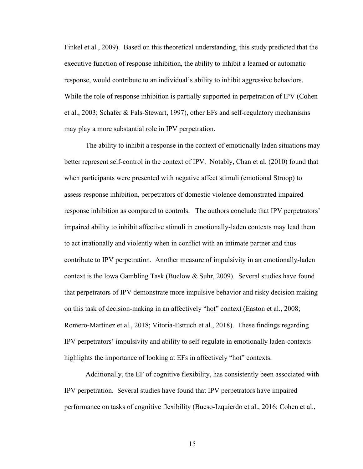Finkel et al., 2009). Based on this theoretical understanding, this study predicted that the executive function of response inhibition, the ability to inhibit a learned or automatic response, would contribute to an individual's ability to inhibit aggressive behaviors. While the role of response inhibition is partially supported in perpetration of IPV (Cohen et al., 2003; Schafer & Fals-Stewart, 1997), other EFs and self-regulatory mechanisms may play a more substantial role in IPV perpetration.

The ability to inhibit a response in the context of emotionally laden situations may better represent self-control in the context of IPV. Notably, Chan et al. (2010) found that when participants were presented with negative affect stimuli (emotional Stroop) to assess response inhibition, perpetrators of domestic violence demonstrated impaired response inhibition as compared to controls. The authors conclude that IPV perpetrators' impaired ability to inhibit affective stimuli in emotionally-laden contexts may lead them to act irrationally and violently when in conflict with an intimate partner and thus contribute to IPV perpetration. Another measure of impulsivity in an emotionally-laden context is the Iowa Gambling Task (Buelow & Suhr, 2009). Several studies have found that perpetrators of IPV demonstrate more impulsive behavior and risky decision making on this task of decision-making in an affectively "hot" context (Easton et al., 2008; Romero-Martínez et al., 2018; Vitoria-Estruch et al., 2018). These findings regarding IPV perpetrators' impulsivity and ability to self-regulate in emotionally laden-contexts highlights the importance of looking at EFs in affectively "hot" contexts.

Additionally, the EF of cognitive flexibility, has consistently been associated with IPV perpetration. Several studies have found that IPV perpetrators have impaired performance on tasks of cognitive flexibility (Bueso-Izquierdo et al., 2016; Cohen et al.,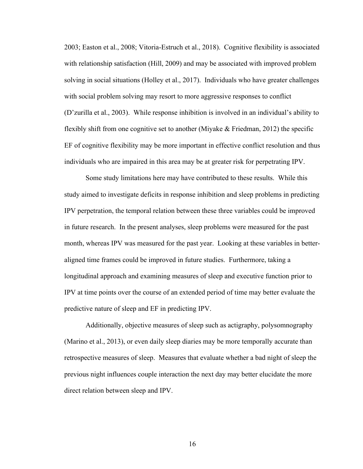2003; Easton et al., 2008; Vitoria-Estruch et al., 2018). Cognitive flexibility is associated with relationship satisfaction (Hill, 2009) and may be associated with improved problem solving in social situations (Holley et al., 2017). Individuals who have greater challenges with social problem solving may resort to more aggressive responses to conflict (D'zurilla et al., 2003). While response inhibition is involved in an individual's ability to flexibly shift from one cognitive set to another (Miyake & Friedman, 2012) the specific EF of cognitive flexibility may be more important in effective conflict resolution and thus individuals who are impaired in this area may be at greater risk for perpetrating IPV.

Some study limitations here may have contributed to these results. While this study aimed to investigate deficits in response inhibition and sleep problems in predicting IPV perpetration, the temporal relation between these three variables could be improved in future research. In the present analyses, sleep problems were measured for the past month, whereas IPV was measured for the past year. Looking at these variables in betteraligned time frames could be improved in future studies. Furthermore, taking a longitudinal approach and examining measures of sleep and executive function prior to IPV at time points over the course of an extended period of time may better evaluate the predictive nature of sleep and EF in predicting IPV.

Additionally, objective measures of sleep such as actigraphy, polysomnography (Marino et al., 2013), or even daily sleep diaries may be more temporally accurate than retrospective measures of sleep. Measures that evaluate whether a bad night of sleep the previous night influences couple interaction the next day may better elucidate the more direct relation between sleep and IPV.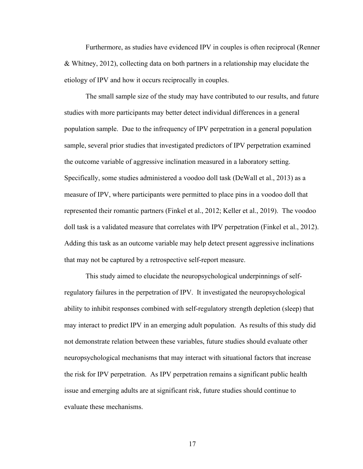Furthermore, as studies have evidenced IPV in couples is often reciprocal (Renner & Whitney, 2012), collecting data on both partners in a relationship may elucidate the etiology of IPV and how it occurs reciprocally in couples.

The small sample size of the study may have contributed to our results, and future studies with more participants may better detect individual differences in a general population sample. Due to the infrequency of IPV perpetration in a general population sample, several prior studies that investigated predictors of IPV perpetration examined the outcome variable of aggressive inclination measured in a laboratory setting. Specifically, some studies administered a voodoo doll task (DeWall et al., 2013) as a measure of IPV, where participants were permitted to place pins in a voodoo doll that represented their romantic partners (Finkel et al., 2012; Keller et al., 2019). The voodoo doll task is a validated measure that correlates with IPV perpetration (Finkel et al., 2012). Adding this task as an outcome variable may help detect present aggressive inclinations that may not be captured by a retrospective self-report measure.

This study aimed to elucidate the neuropsychological underpinnings of selfregulatory failures in the perpetration of IPV. It investigated the neuropsychological ability to inhibit responses combined with self-regulatory strength depletion (sleep) that may interact to predict IPV in an emerging adult population. As results of this study did not demonstrate relation between these variables, future studies should evaluate other neuropsychological mechanisms that may interact with situational factors that increase the risk for IPV perpetration. As IPV perpetration remains a significant public health issue and emerging adults are at significant risk, future studies should continue to evaluate these mechanisms.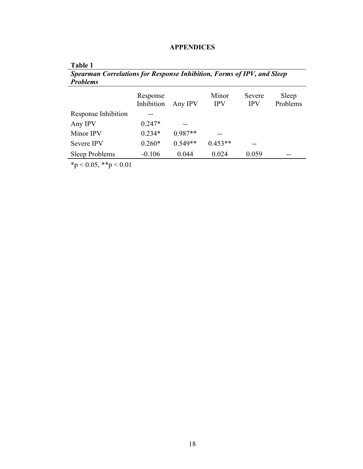| Table 1                                                                |                        |           |                     |                      |                   |
|------------------------------------------------------------------------|------------------------|-----------|---------------------|----------------------|-------------------|
| Spearman Correlations for Response Inhibition, Forms of IPV, and Sleep |                        |           |                     |                      |                   |
| <b>Problems</b>                                                        |                        |           |                     |                      |                   |
|                                                                        | Response<br>Inhibition | Any IPV   | Minor<br><b>IPV</b> | Severe<br><b>IPV</b> | Sleep<br>Problems |
| Response Inhibition                                                    |                        |           |                     |                      |                   |
| Any IPV                                                                | $0.247*$               |           |                     |                      |                   |
| Minor IPV                                                              | $0.234*$               | $0.987**$ |                     |                      |                   |
| <b>Severe IPV</b>                                                      | $0.260*$               | $0.549**$ | $0.453**$           |                      |                   |
| Sleep Problems                                                         | $-0.106$               | 0.044     | 0.024               | 0.059                |                   |

# **APPENDICES**

 $*_{p}$  < 0.05, \*\*p < 0.01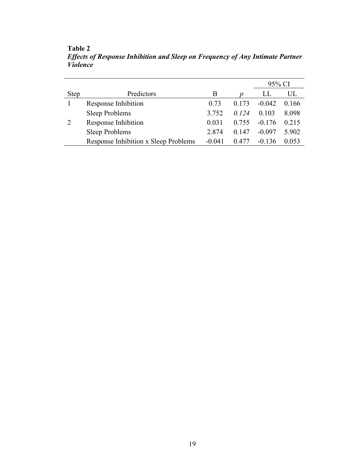|             |                                      |          |       | 95% CI   |       |
|-------------|--------------------------------------|----------|-------|----------|-------|
| <b>Step</b> | Predictors                           | B        |       | LL       | UL    |
|             | Response Inhibition                  | 0.73     | 0.173 | $-0.042$ | 0.166 |
|             | <b>Sleep Problems</b>                | 3.752    | 0.124 | 0.103    | 8.098 |
|             | Response Inhibition                  | 0.031    | 0.755 | $-0.176$ | 0.215 |
|             | Sleep Problems                       | 2.874    | 0.147 | $-0.097$ | 5.902 |
|             | Response Inhibition x Sleep Problems | $-0.041$ | 0.477 | $-0.136$ |       |

**Table 2** *Effects of Response Inhibition and Sleep on Frequency of Any Intimate Partner Violence*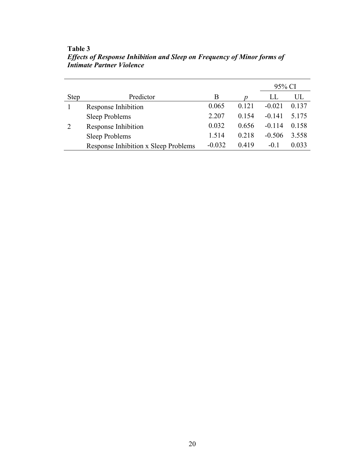|             |                                      |          |       | 95% CI   |       |
|-------------|--------------------------------------|----------|-------|----------|-------|
| <b>Step</b> | Predictor                            | B        |       | LL       | UL    |
|             | Response Inhibition                  | 0.065    | 0.121 | $-0.021$ | 0.137 |
|             | <b>Sleep Problems</b>                | 2.207    | 0.154 | $-0.141$ | 5.175 |
| 2           | Response Inhibition                  | 0.032    | 0.656 | $-0.114$ | 0.158 |
|             | <b>Sleep Problems</b>                | 1.514    | 0.218 | $-0.506$ | 3.558 |
|             | Response Inhibition x Sleep Problems | $-0.032$ | 0.419 | $-0.1$   | 0.033 |

**Table 3** *Effects of Response Inhibition and Sleep on Frequency of Minor forms of Intimate Partner Violence*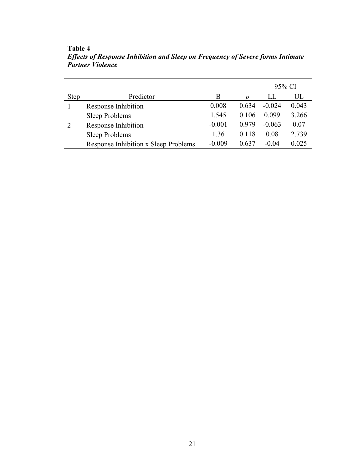|             |                                      |          |       | 95% CI   |       |
|-------------|--------------------------------------|----------|-------|----------|-------|
| <b>Step</b> | Predictor                            | В        |       | LL       | UL    |
|             | Response Inhibition                  | 0.008    | 0.634 | $-0.024$ | 0.043 |
|             | Sleep Problems                       | 1.545    | 0.106 | 0.099    | 3.266 |
| 2           | Response Inhibition                  | $-0.001$ | 0.979 | $-0.063$ | 0.07  |
|             | Sleep Problems                       | 1.36     | 0.118 | 0.08     | 2.739 |
|             | Response Inhibition x Sleep Problems | $-0.009$ | 0.637 | $-0.04$  | 0.025 |

**Table 4** *Effects of Response Inhibition and Sleep on Frequency of Severe forms Intimate Partner Violence*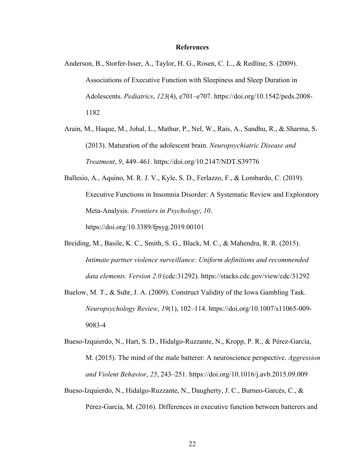#### **References**

- Anderson, B., Storfer-Isser, A., Taylor, H. G., Rosen, C. L., & Redline, S. (2009). Associations of Executive Function with Sleepiness and Sleep Duration in Adolescents. *Pediatrics*, *123*(4), e701–e707. https://doi.org/10.1542/peds.2008- 1182
- Arain, M., Haque, M., Johal, L., Mathur, P., Nel, W., Rais, A., Sandhu, R., & Sharma, S. (2013). Maturation of the adolescent brain. *Neuropsychiatric Disease and Treatment*, *9*, 449–461. https://doi.org/10.2147/NDT.S39776
- Ballesio, A., Aquino, M. R. J. V., Kyle, S. D., Ferlazzo, F., & Lombardo, C. (2019). Executive Functions in Insomnia Disorder: A Systematic Review and Exploratory Meta-Analysis. *Frontiers in Psychology*, *10*. https://doi.org/10.3389/fpsyg.2019.00101
- Breiding, M., Basile, K. C., Smith, S. G., Black, M. C., & Mahendra, R. R. (2015). *Intimate partner violence surveillance: Uniform definitions and recommended data elements. Version 2.0* (cdc:31292). https://stacks.cdc.gov/view/cdc/31292
- Buelow, M. T., & Suhr, J. A. (2009). Construct Validity of the Iowa Gambling Task. *Neuropsychology Review*, *19*(1), 102–114. https://doi.org/10.1007/s11065-009- 9083-4
- Bueso-Izquierdo, N., Hart, S. D., Hidalgo-Ruzzante, N., Kropp, P. R., & Pérez-García, M. (2015). The mind of the male batterer: A neuroscience perspective. *Aggression and Violent Behavior*, *25*, 243–251. https://doi.org/10.1016/j.avb.2015.09.009
- Bueso-Izquierdo, N., Hidalgo-Ruzzante, N., Daugherty, J. C., Burneo-Garcés, C., & Pérez-García, M. (2016). Differences in executive function between batterers and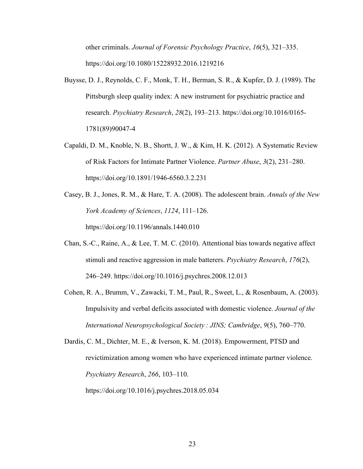other criminals. *Journal of Forensic Psychology Practice*, *16*(5), 321–335. https://doi.org/10.1080/15228932.2016.1219216

- Buysse, D. J., Reynolds, C. F., Monk, T. H., Berman, S. R., & Kupfer, D. J. (1989). The Pittsburgh sleep quality index: A new instrument for psychiatric practice and research. *Psychiatry Research*, *28*(2), 193–213. https://doi.org/10.1016/0165- 1781(89)90047-4
- Capaldi, D. M., Knoble, N. B., Shortt, J. W., & Kim, H. K. (2012). A Systematic Review of Risk Factors for Intimate Partner Violence. *Partner Abuse*, *3*(2), 231–280. https://doi.org/10.1891/1946-6560.3.2.231
- Casey, B. J., Jones, R. M., & Hare, T. A. (2008). The adolescent brain. *Annals of the New York Academy of Sciences*, *1124*, 111–126. https://doi.org/10.1196/annals.1440.010
- Chan, S.-C., Raine, A., & Lee, T. M. C. (2010). Attentional bias towards negative affect stimuli and reactive aggression in male batterers. *Psychiatry Research*, *176*(2), 246–249. https://doi.org/10.1016/j.psychres.2008.12.013
- Cohen, R. A., Brumm, V., Zawacki, T. M., Paul, R., Sweet, L., & Rosenbaum, A. (2003). Impulsivity and verbal deficits associated with domestic violence. *Journal of the International Neuropsychological Society : JINS; Cambridge*, *9*(5), 760–770.

Dardis, C. M., Dichter, M. E., & Iverson, K. M. (2018). Empowerment, PTSD and revictimization among women who have experienced intimate partner violence. *Psychiatry Research*, *266*, 103–110. https://doi.org/10.1016/j.psychres.2018.05.034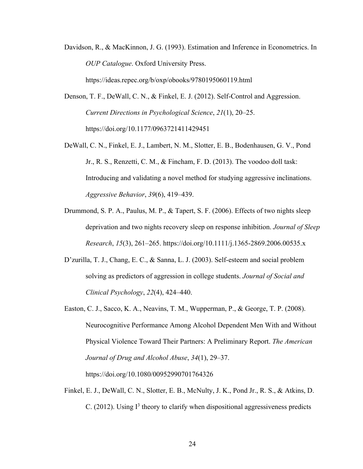Davidson, R., & MacKinnon, J. G. (1993). Estimation and Inference in Econometrics. In *OUP Catalogue*. Oxford University Press.

https://ideas.repec.org/b/oxp/obooks/9780195060119.html

- Denson, T. F., DeWall, C. N., & Finkel, E. J. (2012). Self-Control and Aggression. *Current Directions in Psychological Science*, *21*(1), 20–25. https://doi.org/10.1177/0963721411429451
- DeWall, C. N., Finkel, E. J., Lambert, N. M., Slotter, E. B., Bodenhausen, G. V., Pond Jr., R. S., Renzetti, C. M., & Fincham, F. D. (2013). The voodoo doll task: Introducing and validating a novel method for studying aggressive inclinations. *Aggressive Behavior*, *39*(6), 419–439.
- Drummond, S. P. A., Paulus, M. P., & Tapert, S. F. (2006). Effects of two nights sleep deprivation and two nights recovery sleep on response inhibition. *Journal of Sleep Research*, *15*(3), 261–265. https://doi.org/10.1111/j.1365-2869.2006.00535.x
- D'zurilla, T. J., Chang, E. C., & Sanna, L. J. (2003). Self-esteem and social problem solving as predictors of aggression in college students. *Journal of Social and Clinical Psychology*, *22*(4), 424–440.
- Easton, C. J., Sacco, K. A., Neavins, T. M., Wupperman, P., & George, T. P. (2008). Neurocognitive Performance Among Alcohol Dependent Men With and Without Physical Violence Toward Their Partners: A Preliminary Report. *The American Journal of Drug and Alcohol Abuse*, *34*(1), 29–37.

https://doi.org/10.1080/00952990701764326

Finkel, E. J., DeWall, C. N., Slotter, E. B., McNulty, J. K., Pond Jr., R. S., & Atkins, D. C. (2012). Using  $I<sup>3</sup>$  theory to clarify when dispositional aggressiveness predicts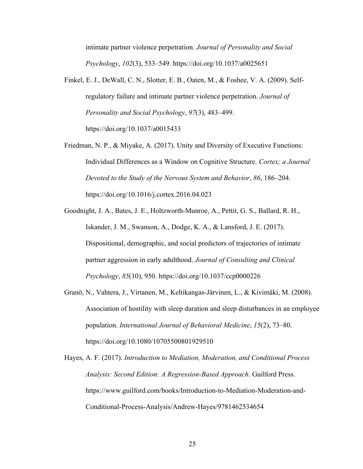intimate partner violence perpetration. *Journal of Personality and Social Psychology*, *102*(3), 533–549. https://doi.org/10.1037/a0025651

- Finkel, E. J., DeWall, C. N., Slotter, E. B., Oaten, M., & Foshee, V. A. (2009). Selfregulatory failure and intimate partner violence perpetration. *Journal of Personality and Social Psychology*, *97*(3), 483–499. https://doi.org/10.1037/a0015433
- Friedman, N. P., & Miyake, A. (2017). Unity and Diversity of Executive Functions: Individual Differences as a Window on Cognitive Structure. *Cortex; a Journal Devoted to the Study of the Nervous System and Behavior*, *86*, 186–204. https://doi.org/10.1016/j.cortex.2016.04.023
- Goodnight, J. A., Bates, J. E., Holtzworth-Munroe, A., Pettit, G. S., Ballard, R. H., Iskander, J. M., Swanson, A., Dodge, K. A., & Lansford, J. E. (2017). Dispositional, demographic, and social predictors of trajectories of intimate partner aggression in early adulthood. *Journal of Consulting and Clinical Psychology*, *85*(10), 950. https://doi.org/10.1037/ccp0000226
- Granö, N., Vahtera, J., Virtanen, M., Keltikangas-Järvinen, L., & Kivimäki, M. (2008). Association of hostility with sleep duration and sleep disturbances in an employee population. *International Journal of Behavioral Medicine*, *15*(2), 73–80. https://doi.org/10.1080/10705500801929510
- Hayes, A. F. (2017). *Introduction to Mediation, Moderation, and Conditional Process Analysis: Second Edition: A Regression-Based Approach*. Guilford Press. https://www.guilford.com/books/Introduction-to-Mediation-Moderation-and-Conditional-Process-Analysis/Andrew-Hayes/9781462534654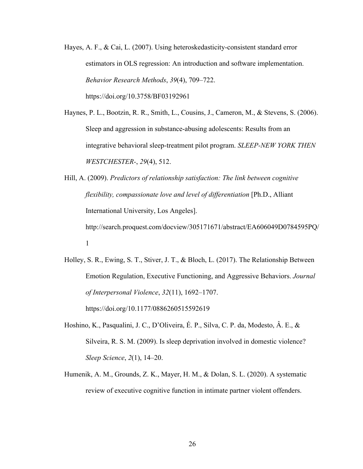Hayes, A. F., & Cai, L. (2007). Using heteroskedasticity-consistent standard error estimators in OLS regression: An introduction and software implementation. *Behavior Research Methods*, *39*(4), 709–722. https://doi.org/10.3758/BF03192961

Haynes, P. L., Bootzin, R. R., Smith, L., Cousins, J., Cameron, M., & Stevens, S. (2006). Sleep and aggression in substance-abusing adolescents: Results from an integrative behavioral sleep-treatment pilot program. *SLEEP-NEW YORK THEN WESTCHESTER-*, *29*(4), 512.

Hill, A. (2009). *Predictors of relationship satisfaction: The link between cognitive flexibility, compassionate love and level of differentiation* [Ph.D., Alliant International University, Los Angeles]. http://search.proquest.com/docview/305171671/abstract/EA606049D0784595PQ/ 1

Holley, S. R., Ewing, S. T., Stiver, J. T., & Bloch, L. (2017). The Relationship Between Emotion Regulation, Executive Functioning, and Aggressive Behaviors. *Journal of Interpersonal Violence*, *32*(11), 1692–1707. https://doi.org/10.1177/0886260515592619

Hoshino, K., Pasqualini, J. C., D'Oliveira, É. P., Silva, C. P. da, Modesto, Â. E., & Silveira, R. S. M. (2009). Is sleep deprivation involved in domestic violence? *Sleep Science*, *2*(1), 14–20.

Humenik, A. M., Grounds, Z. K., Mayer, H. M., & Dolan, S. L. (2020). A systematic review of executive cognitive function in intimate partner violent offenders.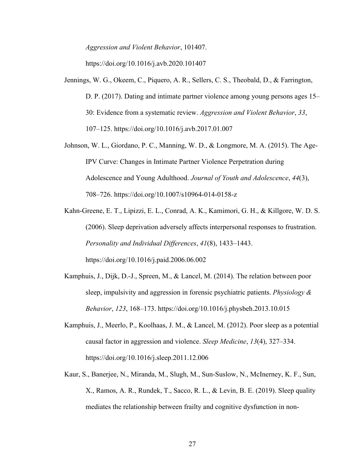*Aggression and Violent Behavior*, 101407.

https://doi.org/10.1016/j.avb.2020.101407

- Jennings, W. G., Okeem, C., Piquero, A. R., Sellers, C. S., Theobald, D., & Farrington, D. P. (2017). Dating and intimate partner violence among young persons ages 15– 30: Evidence from a systematic review. *Aggression and Violent Behavior*, *33*, 107–125. https://doi.org/10.1016/j.avb.2017.01.007
- Johnson, W. L., Giordano, P. C., Manning, W. D., & Longmore, M. A. (2015). The Age-IPV Curve: Changes in Intimate Partner Violence Perpetration during Adolescence and Young Adulthood. *Journal of Youth and Adolescence*, *44*(3), 708–726. https://doi.org/10.1007/s10964-014-0158-z
- Kahn-Greene, E. T., Lipizzi, E. L., Conrad, A. K., Kamimori, G. H., & Killgore, W. D. S. (2006). Sleep deprivation adversely affects interpersonal responses to frustration. *Personality and Individual Differences*, *41*(8), 1433–1443. https://doi.org/10.1016/j.paid.2006.06.002
- Kamphuis, J., Dijk, D.-J., Spreen, M., & Lancel, M. (2014). The relation between poor sleep, impulsivity and aggression in forensic psychiatric patients. *Physiology & Behavior*, *123*, 168–173. https://doi.org/10.1016/j.physbeh.2013.10.015
- Kamphuis, J., Meerlo, P., Koolhaas, J. M., & Lancel, M. (2012). Poor sleep as a potential causal factor in aggression and violence. *Sleep Medicine*, *13*(4), 327–334. https://doi.org/10.1016/j.sleep.2011.12.006
- Kaur, S., Banerjee, N., Miranda, M., Slugh, M., Sun-Suslow, N., McInerney, K. F., Sun, X., Ramos, A. R., Rundek, T., Sacco, R. L., & Levin, B. E. (2019). Sleep quality mediates the relationship between frailty and cognitive dysfunction in non-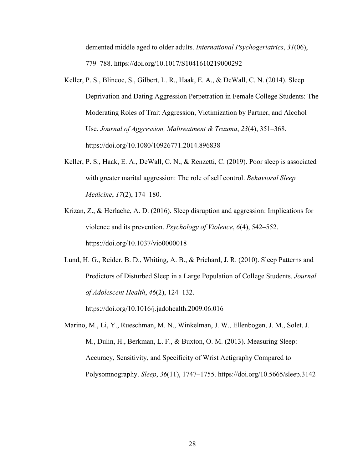demented middle aged to older adults. *International Psychogeriatrics*, *31*(06), 779–788. https://doi.org/10.1017/S1041610219000292

- Keller, P. S., Blincoe, S., Gilbert, L. R., Haak, E. A., & DeWall, C. N. (2014). Sleep Deprivation and Dating Aggression Perpetration in Female College Students: The Moderating Roles of Trait Aggression, Victimization by Partner, and Alcohol Use. *Journal of Aggression, Maltreatment & Trauma*, *23*(4), 351–368. https://doi.org/10.1080/10926771.2014.896838
- Keller, P. S., Haak, E. A., DeWall, C. N., & Renzetti, C. (2019). Poor sleep is associated with greater marital aggression: The role of self control. *Behavioral Sleep Medicine*, *17*(2), 174–180.
- Krizan, Z., & Herlache, A. D. (2016). Sleep disruption and aggression: Implications for violence and its prevention. *Psychology of Violence*, *6*(4), 542–552. https://doi.org/10.1037/vio0000018

Lund, H. G., Reider, B. D., Whiting, A. B., & Prichard, J. R. (2010). Sleep Patterns and Predictors of Disturbed Sleep in a Large Population of College Students. *Journal of Adolescent Health*, *46*(2), 124–132. https://doi.org/10.1016/j.jadohealth.2009.06.016

Marino, M., Li, Y., Rueschman, M. N., Winkelman, J. W., Ellenbogen, J. M., Solet, J. M., Dulin, H., Berkman, L. F., & Buxton, O. M. (2013). Measuring Sleep: Accuracy, Sensitivity, and Specificity of Wrist Actigraphy Compared to Polysomnography. *Sleep*, *36*(11), 1747–1755. https://doi.org/10.5665/sleep.3142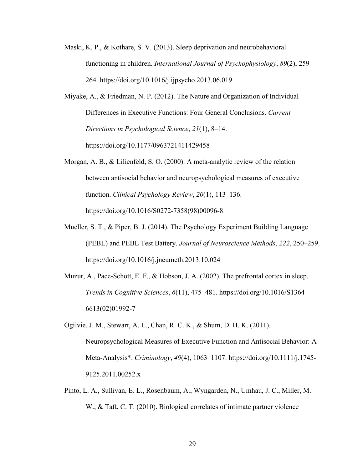- Maski, K. P., & Kothare, S. V. (2013). Sleep deprivation and neurobehavioral functioning in children. *International Journal of Psychophysiology*, *89*(2), 259– 264. https://doi.org/10.1016/j.ijpsycho.2013.06.019
- Miyake, A., & Friedman, N. P. (2012). The Nature and Organization of Individual Differences in Executive Functions: Four General Conclusions. *Current Directions in Psychological Science*, *21*(1), 8–14. https://doi.org/10.1177/0963721411429458
- Morgan, A. B., & Lilienfeld, S. O. (2000). A meta-analytic review of the relation between antisocial behavior and neuropsychological measures of executive function. *Clinical Psychology Review*, *20*(1), 113–136. https://doi.org/10.1016/S0272-7358(98)00096-8
- Mueller, S. T., & Piper, B. J. (2014). The Psychology Experiment Building Language (PEBL) and PEBL Test Battery. *Journal of Neuroscience Methods*, *222*, 250–259. https://doi.org/10.1016/j.jneumeth.2013.10.024
- Muzur, A., Pace-Schott, E. F., & Hobson, J. A. (2002). The prefrontal cortex in sleep. *Trends in Cognitive Sciences*, *6*(11), 475–481. https://doi.org/10.1016/S1364- 6613(02)01992-7
- Ogilvie, J. M., Stewart, A. L., Chan, R. C. K., & Shum, D. H. K. (2011). Neuropsychological Measures of Executive Function and Antisocial Behavior: A Meta-Analysis\*. *Criminology*, *49*(4), 1063–1107. https://doi.org/10.1111/j.1745- 9125.2011.00252.x
- Pinto, L. A., Sullivan, E. L., Rosenbaum, A., Wyngarden, N., Umhau, J. C., Miller, M. W., & Taft, C. T. (2010). Biological correlates of intimate partner violence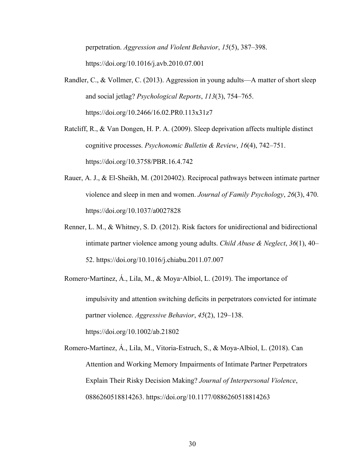perpetration. *Aggression and Violent Behavior*, *15*(5), 387–398. https://doi.org/10.1016/j.avb.2010.07.001

Randler, C., & Vollmer, C. (2013). Aggression in young adults—A matter of short sleep and social jetlag? *Psychological Reports*, *113*(3), 754–765. https://doi.org/10.2466/16.02.PR0.113x31z7

Ratcliff, R., & Van Dongen, H. P. A. (2009). Sleep deprivation affects multiple distinct cognitive processes. *Psychonomic Bulletin & Review*, *16*(4), 742–751. https://doi.org/10.3758/PBR.16.4.742

- Rauer, A. J., & El-Sheikh, M. (20120402). Reciprocal pathways between intimate partner violence and sleep in men and women. *Journal of Family Psychology*, *26*(3), 470. https://doi.org/10.1037/a0027828
- Renner, L. M., & Whitney, S. D. (2012). Risk factors for unidirectional and bidirectional intimate partner violence among young adults. *Child Abuse & Neglect*, *36*(1), 40– 52. https://doi.org/10.1016/j.chiabu.2011.07.007

Romero-Martínez, Á., Lila, M., & Moya-Albiol, L. (2019). The importance of impulsivity and attention switching deficits in perpetrators convicted for intimate partner violence. *Aggressive Behavior*, *45*(2), 129–138. https://doi.org/10.1002/ab.21802

Romero-Martínez, Á., Lila, M., Vitoria-Estruch, S., & Moya-Albiol, L. (2018). Can Attention and Working Memory Impairments of Intimate Partner Perpetrators Explain Their Risky Decision Making? *Journal of Interpersonal Violence*, 0886260518814263. https://doi.org/10.1177/0886260518814263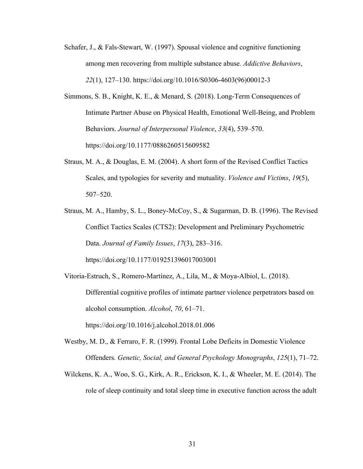- Schafer, J., & Fals-Stewart, W. (1997). Spousal violence and cognitive functioning among men recovering from multiple substance abuse. *Addictive Behaviors*, *22*(1), 127–130. https://doi.org/10.1016/S0306-4603(96)00012-3
- Simmons, S. B., Knight, K. E., & Menard, S. (2018). Long-Term Consequences of Intimate Partner Abuse on Physical Health, Emotional Well-Being, and Problem Behaviors. *Journal of Interpersonal Violence*, *33*(4), 539–570. https://doi.org/10.1177/0886260515609582
- Straus, M. A., & Douglas, E. M. (2004). A short form of the Revised Conflict Tactics Scales, and typologies for severity and mutuality. *Violence and Victims*, *19*(5), 507–520.
- Straus, M. A., Hamby, S. L., Boney-McCoy, S., & Sugarman, D. B. (1996). The Revised Conflict Tactics Scales (CTS2): Development and Preliminary Psychometric Data. *Journal of Family Issues*, *17*(3), 283–316. https://doi.org/10.1177/019251396017003001
- Vitoria-Estruch, S., Romero-Martínez, A., Lila, M., & Moya-Albiol, L. (2018). Differential cognitive profiles of intimate partner violence perpetrators based on alcohol consumption. *Alcohol*, *70*, 61–71. https://doi.org/10.1016/j.alcohol.2018.01.006
- Westby, M. D., & Ferraro, F. R. (1999). Frontal Lobe Deficits in Domestic Violence Offenders. *Genetic, Social, and General Psychology Monographs*, *125*(1), 71–72.
- Wilckens, K. A., Woo, S. G., Kirk, A. R., Erickson, K. I., & Wheeler, M. E. (2014). The role of sleep continuity and total sleep time in executive function across the adult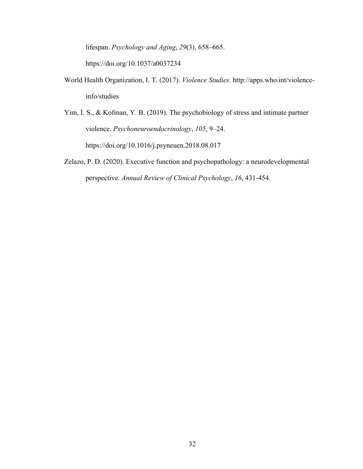lifespan. *Psychology and Aging*, *29*(3), 658–665.

https://doi.org/10.1037/a0037234

- World Health Organization, I. T. (2017). *Violence Studies*. http://apps.who.int/violenceinfo/studies
- Yim, I. S., & Kofman, Y. B. (2019). The psychobiology of stress and intimate partner violence. *Psychoneuroendocrinology*, *105*, 9–24. https://doi.org/10.1016/j.psyneuen.2018.08.017
- Zelazo, P. D. (2020). Executive function and psychopathology: a neurodevelopmental perspective. *Annual Review of Clinical Psychology*, *16*, 431-454.